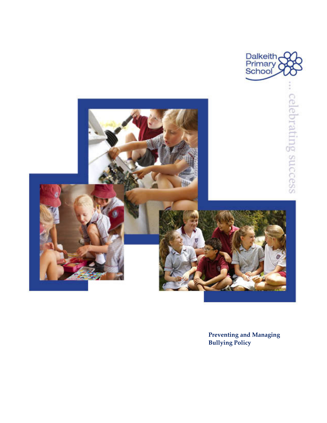

**Preventing and Managing Bullying Policy**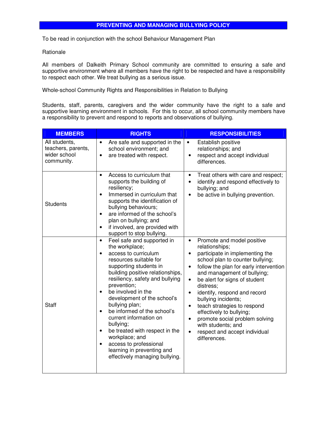#### **PREVENTING AND MANAGING BULLYING POLICY**

To be read in conjunction with the school Behaviour Management Plan

#### Rationale

All members of Dalkeith Primary School community are committed to ensuring a safe and supportive environment where all members have the right to be respected and have a responsibility to respect each other. We treat bullying as a serious issue.

Whole-school Community Rights and Responsibilities in Relation to Bullying

Students, staff, parents, caregivers and the wider community have the right to a safe and supportive learning environment in schools. For this to occur, all school community members have a responsibility to prevent and respond to reports and observations of bullying.

| <b>MEMBERS</b>                                                    | <b>RIGHTS</b>                                                                                                                                                                                                                                                                                                                                                                                                                                                                                                                                                 | <b>RESPONSIBILITIES</b>                                                                                                                                                                                                                                                                                                                                                                                                                                                                                                                                          |
|-------------------------------------------------------------------|---------------------------------------------------------------------------------------------------------------------------------------------------------------------------------------------------------------------------------------------------------------------------------------------------------------------------------------------------------------------------------------------------------------------------------------------------------------------------------------------------------------------------------------------------------------|------------------------------------------------------------------------------------------------------------------------------------------------------------------------------------------------------------------------------------------------------------------------------------------------------------------------------------------------------------------------------------------------------------------------------------------------------------------------------------------------------------------------------------------------------------------|
| All students,<br>teachers, parents,<br>wider school<br>community. | Are safe and supported in the<br>$\bullet$<br>school environment; and<br>are treated with respect.<br>$\bullet$                                                                                                                                                                                                                                                                                                                                                                                                                                               | Establish positive<br>$\bullet$<br>relationships; and<br>respect and accept individual<br>differences.                                                                                                                                                                                                                                                                                                                                                                                                                                                           |
| <b>Students</b>                                                   | Access to curriculum that<br>$\bullet$<br>supports the building of<br>resiliency;<br>Immersed in curriculum that<br>$\bullet$<br>supports the identification of<br>bullying behaviours;<br>are informed of the school's<br>$\bullet$<br>plan on bullying; and<br>if involved, are provided with<br>$\bullet$<br>support to stop bullying.                                                                                                                                                                                                                     | Treat others with care and respect;<br>$\bullet$<br>identify and respond effectively to<br>$\bullet$<br>bullying; and<br>be active in bullying prevention.<br>$\bullet$                                                                                                                                                                                                                                                                                                                                                                                          |
| <b>Staff</b>                                                      | Feel safe and supported in<br>$\bullet$<br>the workplace;<br>access to curriculum<br>resources suitable for<br>supporting students in<br>building positive relationships,<br>resiliency, safety and bullying<br>prevention;<br>be involved in the<br>$\bullet$<br>development of the school's<br>bullying plan;<br>be informed of the school's<br>$\bullet$<br>current information on<br>bullying;<br>be treated with respect in the<br>$\bullet$<br>workplace; and<br>access to professional<br>learning in preventing and<br>effectively managing bullying. | Promote and model positive<br>$\bullet$<br>relationships;<br>participate in implementing the<br>school plan to counter bullying;<br>follow the plan for early intervention<br>$\bullet$<br>and management of bullying;<br>be alert for signs of student<br>$\bullet$<br>distress;<br>identify, respond and record<br>$\bullet$<br>bullying incidents;<br>teach strategies to respond<br>$\bullet$<br>effectively to bullying;<br>promote social problem solving<br>$\bullet$<br>with students; and<br>respect and accept individual<br>$\bullet$<br>differences. |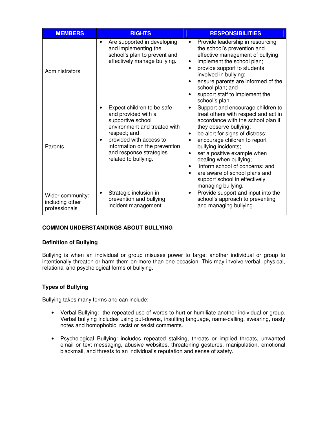| <b>MEMBERS</b>                                       | <b>RIGHTS</b>                                                                                                                                                                                                                         | <b>RESPONSIBILITIES</b>                                                                                                                                                                                                                                                                                                                                                                                                                  |
|------------------------------------------------------|---------------------------------------------------------------------------------------------------------------------------------------------------------------------------------------------------------------------------------------|------------------------------------------------------------------------------------------------------------------------------------------------------------------------------------------------------------------------------------------------------------------------------------------------------------------------------------------------------------------------------------------------------------------------------------------|
| Administrators                                       | Are supported in developing<br>and implementing the<br>school's plan to prevent and<br>effectively manage bullying.                                                                                                                   | Provide leadership in resourcing<br>$\bullet$<br>the school's prevention and<br>effective management of bullying;<br>implement the school plan;<br>٠<br>provide support to students<br>involved in bullying;<br>ensure parents are informed of the<br>school plan; and<br>support staff to implement the<br>school's plan.                                                                                                               |
| Parents                                              | Expect children to be safe<br>and provided with a<br>supportive school<br>environment and treated with<br>respect; and<br>provided with access to<br>information on the prevention<br>and response strategies<br>related to bullying. | Support and encourage children to<br>$\bullet$<br>treat others with respect and act in<br>accordance with the school plan if<br>they observe bullying;<br>be alert for signs of distress;<br>٠<br>encourage children to report<br>bullying incidents;<br>set a positive example when<br>dealing when bullying;<br>inform school of concerns; and<br>are aware of school plans and<br>support school in effectively<br>managing bullying. |
| Wider community:<br>including other<br>professionals | Strategic inclusion in<br>$\bullet$<br>prevention and bullying<br>incident management.                                                                                                                                                | Provide support and input into the<br>$\bullet$<br>school's approach to preventing<br>and managing bullying.                                                                                                                                                                                                                                                                                                                             |

# **COMMON UNDERSTANDINGS ABOUT BULLYING**

### **Definition of Bullying**

Bullying is when an individual or group misuses power to target another individual or group to intentionally threaten or harm them on more than one occasion. This may involve verbal, physical, relational and psychological forms of bullying.

# **Types of Bullying**

Bullying takes many forms and can include:

- Verbal Bullying: the repeated use of words to hurt or humiliate another individual or group. Verbal bullying includes using put-downs, insulting language, name-calling, swearing, nasty notes and homophobic, racist or sexist comments.
- Psychological Bullying: includes repeated stalking, threats or implied threats, unwanted email or text messaging, abusive websites, threatening gestures, manipulation, emotional blackmail, and threats to an individual's reputation and sense of safety.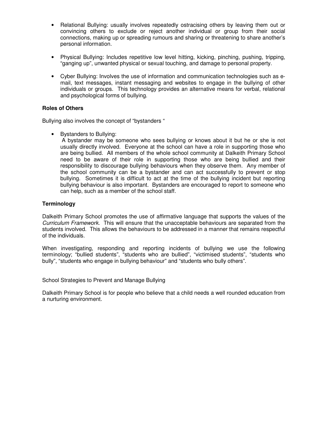- Relational Bullying: usually involves repeatedly ostracising others by leaving them out or convincing others to exclude or reject another individual or group from their social connections, making up or spreading rumours and sharing or threatening to share another's personal information.
- Physical Bullying: Includes repetitive low level hitting, kicking, pinching, pushing, tripping, "ganging up", unwanted physical or sexual touching, and damage to personal property.
- Cyber Bullying: Involves the use of information and communication technologies such as email, text messages, instant messaging and websites to engage in the bullying of other individuals or groups. This technology provides an alternative means for verbal, relational and psychological forms of bullying.

#### **Roles of Others**

Bullying also involves the concept of "bystanders "

• Bystanders to Bullying:

 A bystander may be someone who sees bullying or knows about it but he or she is not usually directly involved. Everyone at the school can have a role in supporting those who are being bullied. All members of the whole school community at Dalkeith Primary School need to be aware of their role in supporting those who are being bullied and their responsibility to discourage bullying behaviours when they observe them. Any member of the school community can be a bystander and can act successfully to prevent or stop bullying. Sometimes it is difficult to act at the time of the bullying incident but reporting bullying behaviour is also important. Bystanders are encouraged to report to someone who can help, such as a member of the school staff.

### **Terminology**

Dalkeith Primary School promotes the use of affirmative language that supports the values of the Curriculum Framework. This will ensure that the unacceptable behaviours are separated from the students involved. This allows the behaviours to be addressed in a manner that remains respectful of the individuals.

When investigating, responding and reporting incidents of bullying we use the following terminology; "bullied students", "students who are bullied", "victimised students", "students who bully", "students who engage in bullying behaviour" and "students who bully others".

School Strategies to Prevent and Manage Bullying

Dalkeith Primary School is for people who believe that a child needs a well rounded education from a nurturing environment.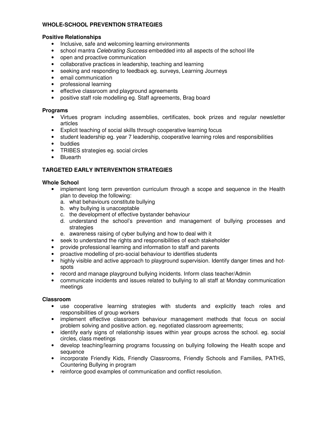## **WHOLE-SCHOOL PREVENTION STRATEGIES**

#### **Positive Relationships**

- Inclusive, safe and welcoming learning environments
- school mantra *Celebrating Success* embedded into all aspects of the school life
- open and proactive communication
- collaborative practices in leadership, teaching and learning
- seeking and responding to feedback eg. surveys, Learning Journeys
- email communication
- professional learning
- effective classroom and playground agreements
- positive staff role modelling eg. Staff agreements, Brag board

### **Programs**

- Virtues program including assemblies, certificates, book prizes and regular newsletter articles
- Explicit teaching of social skills through cooperative learning focus
- student leadership eg. year 7 leadership, cooperative learning roles and responsibilities
- buddies
- TRIBES strategies eg. social circles
- Bluearth

# **TARGETED EARLY INTERVENTION STRATEGIES**

### **Whole School**

- implement long term prevention curriculum through a scope and sequence in the Health plan to develop the following:
	- a. what behaviours constitute bullying
	- b. why bullying is unacceptable
	- c. the development of effective bystander behaviour
	- d. understand the school's prevention and management of bullying processes and strategies
	- e. awareness raising of cyber bullying and how to deal with it
- seek to understand the rights and responsibilities of each stakeholder
- provide professional learning and information to staff and parents
- proactive modelling of pro-social behaviour to identifies students
- highly visible and active approach to playground supervision. Identify danger times and hotspots
- record and manage playground bullying incidents. Inform class teacher/Admin
- communicate incidents and issues related to bullying to all staff at Monday communication meetings

### **Classroom**

- use cooperative learning strategies with students and explicitly teach roles and responsibilities of group workers
- implement effective classroom behaviour management methods that focus on social problem solving and positive action. eg. negotiated classroom agreements;
- identify early signs of relationship issues within year groups across the school. eg. social circles, class meetings
- develop teaching/learning programs focussing on bullying following the Health scope and sequence
- incorporate Friendly Kids, Friendly Classrooms, Friendly Schools and Families, PATHS, Countering Bullying in program
- reinforce good examples of communication and conflict resolution.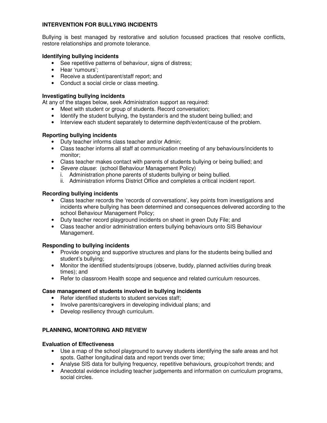## **INTERVENTION FOR BULLYING INCIDENTS**

Bullying is best managed by restorative and solution focussed practices that resolve conflicts, restore relationships and promote tolerance.

### **Identifying bullying incidents**

- See repetitive patterns of behaviour, signs of distress;
- Hear 'rumours';
- Receive a student/parent/staff report; and
- Conduct a social circle or class meeting.

#### **Investigating bullying incidents**

At any of the stages below, seek Administration support as required:

- Meet with student or group of students. Record conversation;
- Identify the student bullying, the bystander/s and the student being bullied; and
- Interview each student separately to determine depth/extent/cause of the problem.

### **Reporting bullying incidents**

- Duty teacher informs class teacher and/or Admin;
- Class teacher informs all staff at communication meeting of any behaviours/incidents to monitor;
- Class teacher makes contact with parents of students bullying or being bullied; and
- Severe clause: (school Behaviour Management Policy)
	- i. Administration phone parents of students bullying or being bullied.
	- ii. Administration informs District Office and completes a critical incident report.

### **Recording bullying incidents**

- Class teacher records the 'records of conversations', key points from investigations and incidents where bullying has been determined and consequences delivered according to the school Behaviour Management Policy;
- Duty teacher record playground incidents on sheet in green Duty File; and
- Class teacher and/or administration enters bullying behaviours onto SIS Behaviour Management.

### **Responding to bullying incidents**

- Provide ongoing and supportive structures and plans for the students being bullied and student's bullying;
- Monitor the identified students/groups (observe, buddy, planned activities during break times); and
- Refer to classroom Health scope and sequence and related curriculum resources.

### **Case management of students involved in bullying incidents**

- Refer identified students to student services staff;
- Involve parents/caregivers in developing individual plans; and
- Develop resiliency through curriculum.

# **PLANNING, MONITORING AND REVIEW**

### **Evaluation of Effectiveness**

- Use a map of the school playground to survey students identifying the safe areas and hot spots. Gather longitudinal data and report trends over time;
- Analyse SIS data for bullying frequency, repetitive behaviours, group/cohort trends; and
- Anecdotal evidence including teacher judgements and information on curriculum programs, social circles.